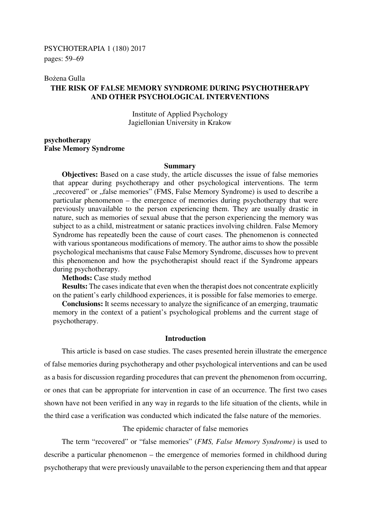#### Bożena Gulla

# **THE RISK OF FALSE MEMORY SYNDROME DURING PSYCHOTHERAPY AND OTHER PSYCHOLOGICAL INTERVENTIONS**

Institute of Applied Psychology Jagiellonian University in Krakow

# **psychotherapy False Memory Syndrome**

#### **Summary**

**Objectives:** Based on a case study, the article discusses the issue of false memories that appear during psychotherapy and other psychological interventions. The term "recovered" or "false memories" (FMS, False Memory Syndrome) is used to describe a particular phenomenon – the emergence of memories during psychotherapy that were previously unavailable to the person experiencing them. They are usually drastic in nature, such as memories of sexual abuse that the person experiencing the memory was subject to as a child, mistreatment or satanic practices involving children. False Memory Syndrome has repeatedly been the cause of court cases. The phenomenon is connected with various spontaneous modifications of memory. The author aims to show the possible psychological mechanisms that cause False Memory Syndrome, discusses how to prevent this phenomenon and how the psychotherapist should react if the Syndrome appears during psychotherapy.

**Methods:** Case study method

**Results:** The cases indicate that even when the therapist does not concentrate explicitly on the patient's early childhood experiences, it is possible for false memories to emerge.

**Conclusions:** It seems necessary to analyze the significance of an emerging, traumatic memory in the context of a patient's psychological problems and the current stage of psychotherapy.

# **Introduction**

This article is based on case studies. The cases presented herein illustrate the emergence of false memories during psychotherapy and other psychological interventions and can be used as a basis for discussion regarding procedures that can prevent the phenomenon from occurring, or ones that can be appropriate for intervention in case of an occurrence. The first two cases shown have not been verified in any way in regards to the life situation of the clients, while in the third case a verification was conducted which indicated the false nature of the memories.

The epidemic character of false memories

The term "recovered" or "false memories" (*FMS, False Memory Syndrome)* is used to describe a particular phenomenon – the emergence of memories formed in childhood during psychotherapy that were previously unavailable to the person experiencing them and that appear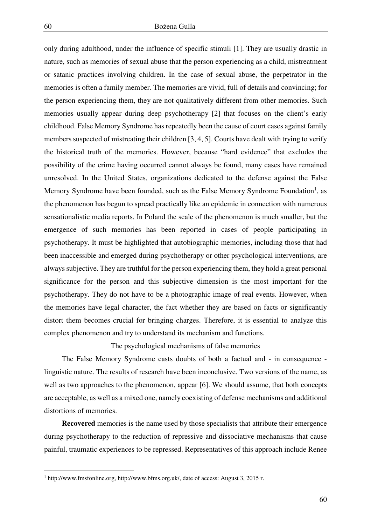only during adulthood, under the influence of specific stimuli [1]. They are usually drastic in nature, such as memories of sexual abuse that the person experiencing as a child, mistreatment or satanic practices involving children. In the case of sexual abuse, the perpetrator in the memories is often a family member. The memories are vivid, full of details and convincing; for the person experiencing them, they are not qualitatively different from other memories. Such memories usually appear during deep psychotherapy [2] that focuses on the client's early childhood. False Memory Syndrome has repeatedly been the cause of court cases against family members suspected of mistreating their children [3, 4, 5]. Courts have dealt with trying to verify the historical truth of the memories. However, because "hard evidence" that excludes the possibility of the crime having occurred cannot always be found, many cases have remained unresolved. In the United States, organizations dedicated to the defense against the False Memory Syndrome have been founded, such as the False Memory Syndrome Foundation<sup>1</sup>, as the phenomenon has begun to spread practically like an epidemic in connection with numerous sensationalistic media reports. In Poland the scale of the phenomenon is much smaller, but the emergence of such memories has been reported in cases of people participating in psychotherapy. It must be highlighted that autobiographic memories, including those that had been inaccessible and emerged during psychotherapy or other psychological interventions, are always subjective. They are truthful for the person experiencing them, they hold a great personal significance for the person and this subjective dimension is the most important for the psychotherapy. They do not have to be a photographic image of real events. However, when the memories have legal character, the fact whether they are based on facts or significantly distort them becomes crucial for bringing charges. Therefore, it is essential to analyze this complex phenomenon and try to understand its mechanism and functions.

The psychological mechanisms of false memories

The False Memory Syndrome casts doubts of both a factual and - in consequence linguistic nature. The results of research have been inconclusive. Two versions of the name, as well as two approaches to the phenomenon, appear [6]. We should assume, that both concepts are acceptable, as well as a mixed one, namely coexisting of defense mechanisms and additional distortions of memories.

**Recovered** memories is the name used by those specialists that attribute their emergence during psychotherapy to the reduction of repressive and dissociative mechanisms that cause painful, traumatic experiences to be repressed. Representatives of this approach include Renee

 $\overline{a}$ 

<sup>&</sup>lt;sup>1</sup> http://www.fmsfonline.org, http://www.bfms.org.uk/, date of access: August 3, 2015 r.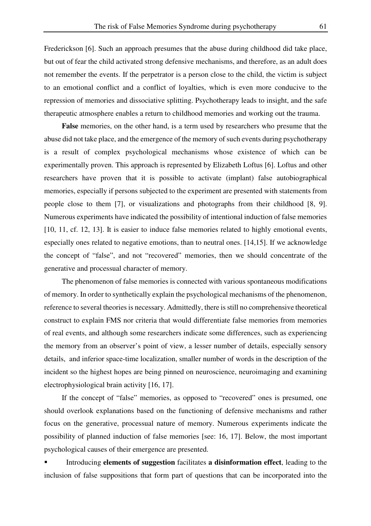Frederickson [6]. Such an approach presumes that the abuse during childhood did take place, but out of fear the child activated strong defensive mechanisms, and therefore, as an adult does not remember the events. If the perpetrator is a person close to the child, the victim is subject to an emotional conflict and a conflict of loyalties, which is even more conducive to the repression of memories and dissociative splitting. Psychotherapy leads to insight, and the safe therapeutic atmosphere enables a return to childhood memories and working out the trauma.

**False** memories, on the other hand, is a term used by researchers who presume that the abuse did not take place, and the emergence of the memory of such events during psychotherapy is a result of complex psychological mechanisms whose existence of which can be experimentally proven. This approach is represented by Elizabeth Loftus [6]. Loftus and other researchers have proven that it is possible to activate (implant) false autobiographical memories, especially if persons subjected to the experiment are presented with statements from people close to them [7], or visualizations and photographs from their childhood [8, 9]. Numerous experiments have indicated the possibility of intentional induction of false memories [10, 11, cf. 12, 13]. It is easier to induce false memories related to highly emotional events, especially ones related to negative emotions, than to neutral ones. [14,15]. If we acknowledge the concept of "false", and not "recovered" memories, then we should concentrate of the generative and processual character of memory.

The phenomenon of false memories is connected with various spontaneous modifications of memory. In order to synthetically explain the psychological mechanisms of the phenomenon, reference to several theories is necessary. Admittedly, there is still no comprehensive theoretical construct to explain FMS nor criteria that would differentiate false memories from memories of real events, and although some researchers indicate some differences, such as experiencing the memory from an observer's point of view, a lesser number of details, especially sensory details, and inferior space-time localization, smaller number of words in the description of the incident so the highest hopes are being pinned on neuroscience, neuroimaging and examining electrophysiological brain activity [16, 17].

If the concept of "false" memories, as opposed to "recovered" ones is presumed, one should overlook explanations based on the functioning of defensive mechanisms and rather focus on the generative, processual nature of memory. Numerous experiments indicate the possibility of planned induction of false memories [see: 16, 17]. Below, the most important psychological causes of their emergence are presented.

 Introducing **elements of suggestion** facilitates **a disinformation effect**, leading to the inclusion of false suppositions that form part of questions that can be incorporated into the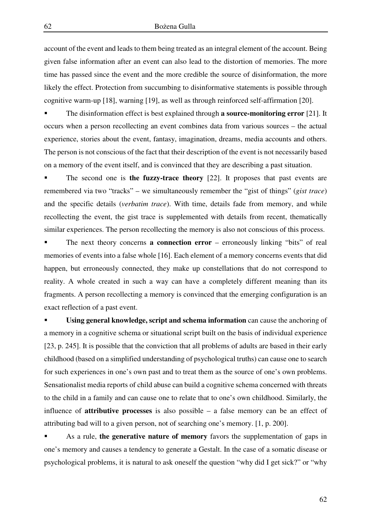account of the event and leads to them being treated as an integral element of the account. Being given false information after an event can also lead to the distortion of memories. The more time has passed since the event and the more credible the source of disinformation, the more likely the effect. Protection from succumbing to disinformative statements is possible through cognitive warm-up [18], warning [19], as well as through reinforced self-affirmation [20].

 The disinformation effect is best explained through **a source-monitoring error** [21]. It occurs when a person recollecting an event combines data from various sources – the actual experience, stories about the event, fantasy, imagination, dreams, media accounts and others. The person is not conscious of the fact that their description of the event is not necessarily based on a memory of the event itself, and is convinced that they are describing a past situation.

 The second one is **the fuzzy-trace theory** [22]. It proposes that past events are remembered via two "tracks" – we simultaneously remember the "gist of things" (*gist trace*) and the specific details (*verbatim trace*). With time, details fade from memory, and while recollecting the event, the gist trace is supplemented with details from recent, thematically similar experiences. The person recollecting the memory is also not conscious of this process.

 The next theory concerns **a connection error** – erroneously linking "bits" of real memories of events into a false whole [16]. Each element of a memory concerns events that did happen, but erroneously connected, they make up constellations that do not correspond to reality. A whole created in such a way can have a completely different meaning than its fragments. A person recollecting a memory is convinced that the emerging configuration is an exact reflection of a past event.

 **Using general knowledge, script and schema information** can cause the anchoring of a memory in a cognitive schema or situational script built on the basis of individual experience [23, p. 245]. It is possible that the conviction that all problems of adults are based in their early childhood (based on a simplified understanding of psychological truths) can cause one to search for such experiences in one's own past and to treat them as the source of one's own problems. Sensationalist media reports of child abuse can build a cognitive schema concerned with threats to the child in a family and can cause one to relate that to one's own childhood. Similarly, the influence of **attributive processes** is also possible – a false memory can be an effect of attributing bad will to a given person, not of searching one's memory. [1, p. 200].

 As a rule, **the generative nature of memory** favors the supplementation of gaps in one's memory and causes a tendency to generate a Gestalt. In the case of a somatic disease or psychological problems, it is natural to ask oneself the question "why did I get sick?" or "why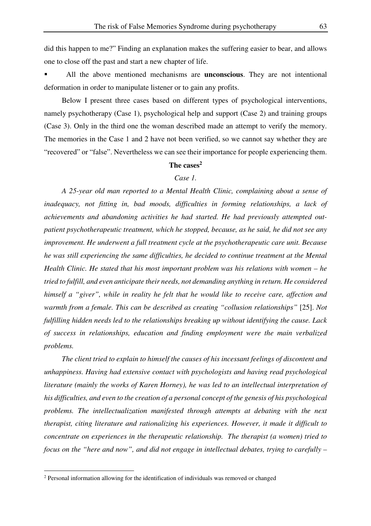did this happen to me?" Finding an explanation makes the suffering easier to bear, and allows one to close off the past and start a new chapter of life.

 All the above mentioned mechanisms are **unconscious**. They are not intentional deformation in order to manipulate listener or to gain any profits.

Below I present three cases based on different types of psychological interventions, namely psychotherapy (Case 1), psychological help and support (Case 2) and training groups (Case 3). Only in the third one the woman described made an attempt to verify the memory. The memories in the Case 1 and 2 have not been verified, so we cannot say whether they are "recovered" or "false". Nevertheless we can see their importance for people experiencing them.

# **The cases<sup>2</sup>**

## *Case 1.*

*A 25-year old man reported to a Mental Health Clinic, complaining about a sense of inadequacy, not fitting in, bad moods, difficulties in forming relationships, a lack of achievements and abandoning activities he had started. He had previously attempted outpatient psychotherapeutic treatment, which he stopped, because, as he said, he did not see any improvement. He underwent a full treatment cycle at the psychotherapeutic care unit. Because he was still experiencing the same difficulties, he decided to continue treatment at the Mental Health Clinic. He stated that his most important problem was his relations with women – he tried to fulfill, and even anticipate their needs, not demanding anything in return. He considered himself a "giver", while in reality he felt that he would like to receive care, affection and warmth from a female. This can be described as creating "collusion relationships"* [25]. *Not fulfilling hidden needs led to the relationships breaking up without identifying the cause. Lack of success in relationships, education and finding employment were the main verbalized problems.* 

*The client tried to explain to himself the causes of his incessant feelings of discontent and unhappiness. Having had extensive contact with psychologists and having read psychological literature (mainly the works of Karen Horney), he was led to an intellectual interpretation of his difficulties, and even to the creation of a personal concept of the genesis of his psychological problems. The intellectualization manifested through attempts at debating with the next therapist, citing literature and rationalizing his experiences. However, it made it difficult to concentrate on experiences in the therapeutic relationship. The therapist (a women) tried to focus on the "here and now", and did not engage in intellectual debates, trying to carefully –* 

 $\overline{a}$ 

<sup>&</sup>lt;sup>2</sup> Personal information allowing for the identification of individuals was removed or changed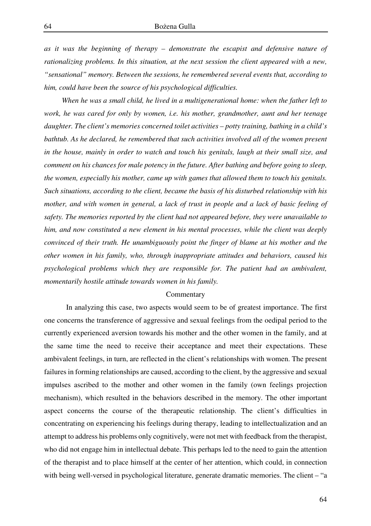*as it was the beginning of therapy – demonstrate the escapist and defensive nature of rationalizing problems. In this situation, at the next session the client appeared with a new, "sensational" memory. Between the sessions, he remembered several events that, according to him, could have been the source of his psychological difficulties.* 

*When he was a small child, he lived in a multigenerational home: when the father left to work, he was cared for only by women, i.e. his mother, grandmother, aunt and her teenage daughter. The client's memories concerned toilet activities – potty training, bathing in a child's bathtub. As he declared, he remembered that such activities involved all of the women present in the house, mainly in order to watch and touch his genitals, laugh at their small size, and comment on his chances for male potency in the future. After bathing and before going to sleep, the women, especially his mother, came up with games that allowed them to touch his genitals. Such situations, according to the client, became the basis of his disturbed relationship with his mother, and with women in general, a lack of trust in people and a lack of basic feeling of safety. The memories reported by the client had not appeared before, they were unavailable to him, and now constituted a new element in his mental processes, while the client was deeply convinced of their truth. He unambiguously point the finger of blame at his mother and the other women in his family, who, through inappropriate attitudes and behaviors, caused his psychological problems which they are responsible for. The patient had an ambivalent, momentarily hostile attitude towards women in his family.* 

#### **Commentary**

In analyzing this case, two aspects would seem to be of greatest importance. The first one concerns the transference of aggressive and sexual feelings from the oedipal period to the currently experienced aversion towards his mother and the other women in the family, and at the same time the need to receive their acceptance and meet their expectations. These ambivalent feelings, in turn, are reflected in the client's relationships with women. The present failures in forming relationships are caused, according to the client, by the aggressive and sexual impulses ascribed to the mother and other women in the family (own feelings projection mechanism), which resulted in the behaviors described in the memory. The other important aspect concerns the course of the therapeutic relationship. The client's difficulties in concentrating on experiencing his feelings during therapy, leading to intellectualization and an attempt to address his problems only cognitively, were not met with feedback from the therapist, who did not engage him in intellectual debate. This perhaps led to the need to gain the attention of the therapist and to place himself at the center of her attention, which could, in connection with being well-versed in psychological literature, generate dramatic memories. The client – "a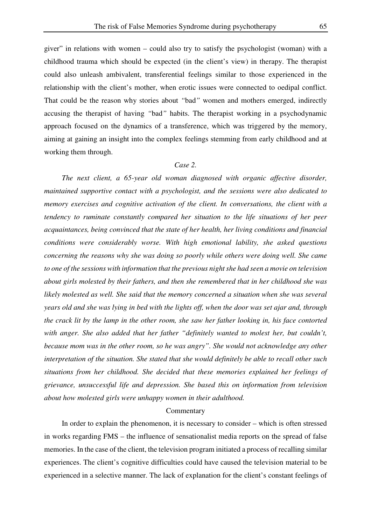giver" in relations with women – could also try to satisfy the psychologist (woman) with a childhood trauma which should be expected (in the client's view) in therapy. The therapist could also unleash ambivalent, transferential feelings similar to those experienced in the relationship with the client's mother, when erotic issues were connected to oedipal conflict. That could be the reason why stories about *"*bad*"* women and mothers emerged, indirectly accusing the therapist of having *"*bad*"* habits. The therapist working in a psychodynamic approach focused on the dynamics of a transference, which was triggered by the memory, aiming at gaining an insight into the complex feelings stemming from early childhood and at working them through.

### *Case 2.*

*The next client, a 65-year old woman diagnosed with organic affective disorder, maintained supportive contact with a psychologist, and the sessions were also dedicated to memory exercises and cognitive activation of the client. In conversations, the client with a tendency to ruminate constantly compared her situation to the life situations of her peer acquaintances, being convinced that the state of her health, her living conditions and financial conditions were considerably worse. With high emotional lability, she asked questions concerning the reasons why she was doing so poorly while others were doing well. She came to one of the sessions with information that the previous night she had seen a movie on television about girls molested by their fathers, and then she remembered that in her childhood she was likely molested as well. She said that the memory concerned a situation when she was several years old and she was lying in bed with the lights off, when the door was set ajar and, through the crack lit by the lamp in the other room, she saw her father looking in, his face contorted with anger. She also added that her father "definitely wanted to molest her, but couldn't, because mom was in the other room, so he was angry". She would not acknowledge any other interpretation of the situation. She stated that she would definitely be able to recall other such situations from her childhood. She decided that these memories explained her feelings of grievance, unsuccessful life and depression. She based this on information from television about how molested girls were unhappy women in their adulthood.* 

#### Commentary

In order to explain the phenomenon, it is necessary to consider – which is often stressed in works regarding FMS – the influence of sensationalist media reports on the spread of false memories. In the case of the client, the television program initiated a process of recalling similar experiences. The client's cognitive difficulties could have caused the television material to be experienced in a selective manner. The lack of explanation for the client's constant feelings of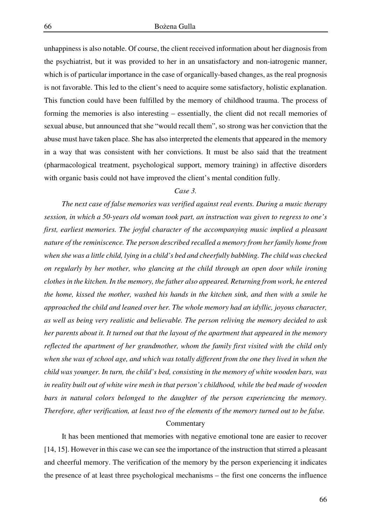unhappiness is also notable. Of course, the client received information about her diagnosis from the psychiatrist, but it was provided to her in an unsatisfactory and non-iatrogenic manner, which is of particular importance in the case of organically-based changes, as the real prognosis is not favorable. This led to the client's need to acquire some satisfactory, holistic explanation. This function could have been fulfilled by the memory of childhood trauma. The process of forming the memories is also interesting – essentially, the client did not recall memories of sexual abuse, but announced that she "would recall them", so strong was her conviction that the abuse must have taken place. She has also interpreted the elements that appeared in the memory in a way that was consistent with her convictions. It must be also said that the treatment (pharmacological treatment, psychological support, memory training) in affective disorders with organic basis could not have improved the client's mental condition fully.

#### *Case 3.*

*The next case of false memories was verified against real events. During a music therapy session, in which a 50-years old woman took part, an instruction was given to regress to one's first, earliest memories. The joyful character of the accompanying music implied a pleasant nature of the reminiscence. The person described recalled a memory from her family home from when she was a little child, lying in a child's bed and cheerfully babbling. The child was checked on regularly by her mother, who glancing at the child through an open door while ironing clothes in the kitchen. In the memory, the father also appeared. Returning from work, he entered the home, kissed the mother, washed his hands in the kitchen sink, and then with a smile he approached the child and leaned over her. The whole memory had an idyllic, joyous character, as well as being very realistic and believable. The person reliving the memory decided to ask her parents about it. It turned out that the layout of the apartment that appeared in the memory reflected the apartment of her grandmother, whom the family first visited with the child only when she was of school age, and which was totally different from the one they lived in when the child was younger. In turn, the child's bed, consisting in the memory of white wooden bars, was in reality built out of white wire mesh in that person's childhood, while the bed made of wooden bars in natural colors belonged to the daughter of the person experiencing the memory. Therefore, after verification, at least two of the elements of the memory turned out to be false.* 

### **Commentary**

It has been mentioned that memories with negative emotional tone are easier to recover [14, 15]. However in this case we can see the importance of the instruction that stirred a pleasant and cheerful memory. The verification of the memory by the person experiencing it indicates the presence of at least three psychological mechanisms – the first one concerns the influence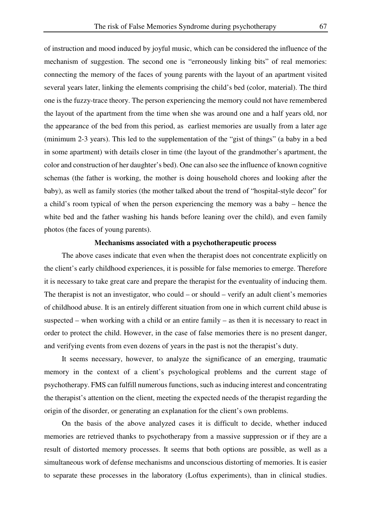of instruction and mood induced by joyful music, which can be considered the influence of the mechanism of suggestion. The second one is "erroneously linking bits" of real memories: connecting the memory of the faces of young parents with the layout of an apartment visited several years later, linking the elements comprising the child's bed (color, material). The third one is the fuzzy-trace theory. The person experiencing the memory could not have remembered the layout of the apartment from the time when she was around one and a half years old, nor the appearance of the bed from this period, as earliest memories are usually from a later age (minimum 2-3 years). This led to the supplementation of the "gist of things" (a baby in a bed in some apartment) with details closer in time (the layout of the grandmother's apartment, the color and construction of her daughter's bed). One can also see the influence of known cognitive schemas (the father is working, the mother is doing household chores and looking after the baby), as well as family stories (the mother talked about the trend of "hospital-style decor" for a child's room typical of when the person experiencing the memory was a baby – hence the white bed and the father washing his hands before leaning over the child), and even family photos (the faces of young parents).

# **Mechanisms associated with a psychotherapeutic process**

The above cases indicate that even when the therapist does not concentrate explicitly on the client's early childhood experiences, it is possible for false memories to emerge. Therefore it is necessary to take great care and prepare the therapist for the eventuality of inducing them. The therapist is not an investigator, who could – or should – verify an adult client's memories of childhood abuse. It is an entirely different situation from one in which current child abuse is suspected – when working with a child or an entire family – as then it is necessary to react in order to protect the child. However, in the case of false memories there is no present danger, and verifying events from even dozens of years in the past is not the therapist's duty.

It seems necessary, however, to analyze the significance of an emerging, traumatic memory in the context of a client's psychological problems and the current stage of psychotherapy. FMS can fulfill numerous functions, such as inducing interest and concentrating the therapist's attention on the client, meeting the expected needs of the therapist regarding the origin of the disorder, or generating an explanation for the client's own problems.

On the basis of the above analyzed cases it is difficult to decide, whether induced memories are retrieved thanks to psychotherapy from a massive suppression or if they are a result of distorted memory processes. It seems that both options are possible, as well as a simultaneous work of defense mechanisms and unconscious distorting of memories. It is easier to separate these processes in the laboratory (Loftus experiments), than in clinical studies.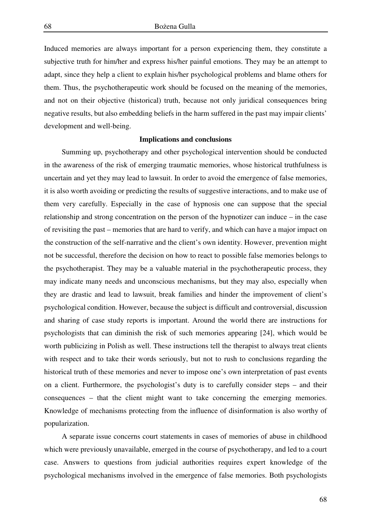Induced memories are always important for a person experiencing them, they constitute a subjective truth for him/her and express his/her painful emotions. They may be an attempt to adapt, since they help a client to explain his/her psychological problems and blame others for them. Thus, the psychotherapeutic work should be focused on the meaning of the memories, and not on their objective (historical) truth, because not only juridical consequences bring negative results, but also embedding beliefs in the harm suffered in the past may impair clients' development and well-being.

#### **Implications and conclusions**

Summing up, psychotherapy and other psychological intervention should be conducted in the awareness of the risk of emerging traumatic memories, whose historical truthfulness is uncertain and yet they may lead to lawsuit. In order to avoid the emergence of false memories, it is also worth avoiding or predicting the results of suggestive interactions, and to make use of them very carefully. Especially in the case of hypnosis one can suppose that the special relationship and strong concentration on the person of the hypnotizer can induce – in the case of revisiting the past – memories that are hard to verify, and which can have a major impact on the construction of the self-narrative and the client's own identity. However, prevention might not be successful, therefore the decision on how to react to possible false memories belongs to the psychotherapist. They may be a valuable material in the psychotherapeutic process, they may indicate many needs and unconscious mechanisms, but they may also, especially when they are drastic and lead to lawsuit, break families and hinder the improvement of client's psychological condition. However, because the subject is difficult and controversial, discussion and sharing of case study reports is important. Around the world there are instructions for psychologists that can diminish the risk of such memories appearing [24], which would be worth publicizing in Polish as well. These instructions tell the therapist to always treat clients with respect and to take their words seriously, but not to rush to conclusions regarding the historical truth of these memories and never to impose one's own interpretation of past events on a client. Furthermore, the psychologist's duty is to carefully consider steps – and their consequences – that the client might want to take concerning the emerging memories. Knowledge of mechanisms protecting from the influence of disinformation is also worthy of popularization.

A separate issue concerns court statements in cases of memories of abuse in childhood which were previously unavailable, emerged in the course of psychotherapy, and led to a court case. Answers to questions from judicial authorities requires expert knowledge of the psychological mechanisms involved in the emergence of false memories. Both psychologists